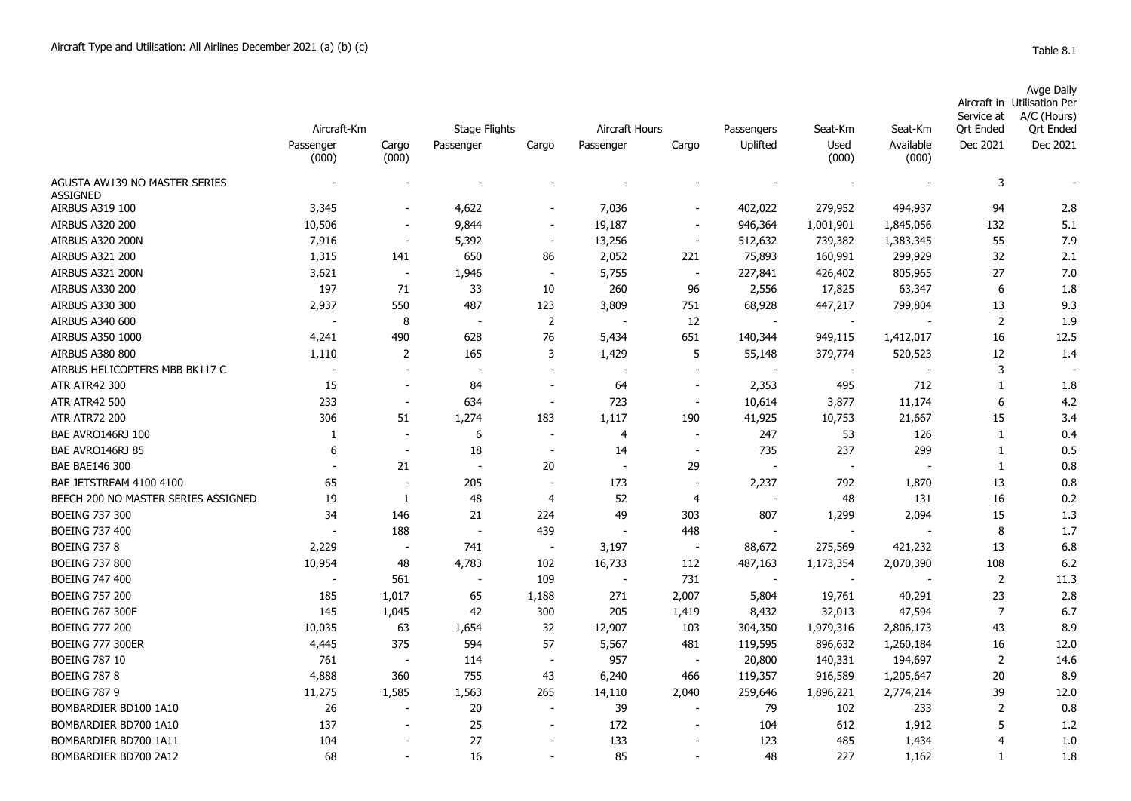|                                                  | Aircraft-Km        |                | <b>Stage Flights</b>     |                          | Aircraft Hours           |                          | Passengers               | Seat-Km                  | Seat-Km            | Service at<br><b>Ort Ended</b> | Avge Daily<br>Aircraft in Utilisation Per<br>A/C (Hours)<br><b>Qrt Ended</b> |
|--------------------------------------------------|--------------------|----------------|--------------------------|--------------------------|--------------------------|--------------------------|--------------------------|--------------------------|--------------------|--------------------------------|------------------------------------------------------------------------------|
|                                                  | Passenger<br>(000) | Cargo<br>(000) | Passenger                | Cargo                    | Passenger                | Cargo                    | Uplifted                 | Used<br>(000)            | Available<br>(000) | Dec 2021                       | Dec 2021                                                                     |
| AGUSTA AW139 NO MASTER SERIES<br><b>ASSIGNED</b> |                    |                |                          |                          |                          |                          |                          |                          |                    | 3                              |                                                                              |
| AIRBUS A319 100                                  | 3,345              |                | 4,622                    | $\overline{\phantom{a}}$ | 7,036                    |                          | 402,022                  | 279,952                  | 494,937            | 94                             | 2.8                                                                          |
| <b>AIRBUS A320 200</b>                           | 10,506             |                | 9,844                    | $\overline{\phantom{a}}$ | 19,187                   | $\overline{\phantom{a}}$ | 946,364                  | 1,001,901                | 1,845,056          | 132                            | 5.1                                                                          |
| AIRBUS A320 200N                                 | 7,916              |                | 5,392                    | $\overline{\phantom{a}}$ | 13,256                   |                          | 512,632                  | 739,382                  | 1,383,345          | 55                             | 7.9                                                                          |
| AIRBUS A321 200                                  | 1,315              | 141            | 650                      | 86                       | 2,052                    | 221                      | 75,893                   | 160,991                  | 299,929            | 32                             | 2.1                                                                          |
| AIRBUS A321 200N                                 | 3,621              |                | 1,946                    |                          | 5,755                    |                          | 227,841                  | 426,402                  | 805,965            | 27                             | 7.0                                                                          |
| <b>AIRBUS A330 200</b>                           | 197                | 71             | 33                       | 10                       | 260                      | 96                       | 2,556                    | 17,825                   | 63,347             | 6                              | 1.8                                                                          |
| AIRBUS A330 300                                  | 2,937              | 550            | 487                      | 123                      | 3,809                    | 751                      | 68,928                   | 447,217                  | 799,804            | 13                             | 9.3                                                                          |
| AIRBUS A340 600                                  |                    | 8              |                          | 2                        |                          | 12                       |                          |                          |                    | 2                              | 1.9                                                                          |
| AIRBUS A350 1000                                 | 4,241              | 490            | 628                      | 76                       | 5,434                    | 651                      | 140,344                  | 949,115                  | 1,412,017          | 16                             | 12.5                                                                         |
| <b>AIRBUS A380 800</b>                           | 1,110              | 2              | 165                      | 3                        | 1,429                    | 5                        | 55,148                   | 379,774                  | 520,523            | 12                             | 1.4                                                                          |
| AIRBUS HELICOPTERS MBB BK117 C                   |                    |                |                          |                          |                          |                          | $\overline{\phantom{a}}$ | $\overline{\phantom{a}}$ |                    | 3                              |                                                                              |
| <b>ATR ATR42 300</b>                             | 15                 |                | 84                       |                          | 64                       |                          | 2,353                    | 495                      | 712                | $\mathbf{1}$                   | 1.8                                                                          |
| <b>ATR ATR42 500</b>                             | 233                |                | 634                      |                          | 723                      |                          | 10,614                   | 3,877                    | 11,174             | 6                              | 4.2                                                                          |
| <b>ATR ATR72 200</b>                             | 306                | 51             | 1,274                    | 183                      | 1,117                    | 190                      | 41,925                   | 10,753                   | 21,667             | 15                             | 3.4                                                                          |
| BAE AVRO146RJ 100                                | 1                  |                | 6                        |                          | 4                        |                          | 247                      | 53                       | 126                | 1                              | 0.4                                                                          |
| BAE AVRO146RJ 85                                 | 6                  |                | 18                       | $\overline{\phantom{a}}$ | 14                       | $\overline{\phantom{a}}$ | 735                      | 237                      | 299                | $\mathbf{1}$                   | 0.5                                                                          |
| <b>BAE BAE146 300</b>                            |                    | 21             |                          | 20                       | $\overline{\phantom{a}}$ | 29                       | $\overline{\phantom{a}}$ | $\overline{\phantom{a}}$ |                    | 1                              | 0.8                                                                          |
| BAE JETSTREAM 4100 4100                          | 65                 |                | 205                      | $\overline{\phantom{a}}$ | 173                      | $\overline{\phantom{a}}$ | 2,237                    | 792                      | 1,870              | 13                             | 0.8                                                                          |
| BEECH 200 NO MASTER SERIES ASSIGNED              | 19                 | -1             | 48                       | 4                        | 52                       | $\overline{4}$           | $\overline{\phantom{a}}$ | 48                       | 131                | 16                             | 0.2                                                                          |
| <b>BOEING 737 300</b>                            | 34                 | 146            | 21                       | 224                      | 49                       | 303                      | 807                      | 1,299                    | 2,094              | 15                             | 1.3                                                                          |
| <b>BOEING 737 400</b>                            |                    | 188            | $\overline{\phantom{a}}$ | 439                      | $\overline{\phantom{a}}$ | 448                      | $\overline{\phantom{a}}$ | $\overline{\phantom{a}}$ |                    | 8                              | 1.7                                                                          |
| <b>BOEING 737 8</b>                              | 2,229              |                | 741                      |                          | 3,197                    |                          | 88,672                   | 275,569                  | 421,232            | 13                             | 6.8                                                                          |
| <b>BOEING 737 800</b>                            | 10,954             | 48             | 4,783                    | 102                      | 16,733                   | 112                      | 487,163                  | 1,173,354                | 2,070,390          | 108                            | 6.2                                                                          |
| <b>BOEING 747 400</b>                            |                    | 561            |                          | 109                      |                          | 731                      |                          |                          |                    | 2                              | 11.3                                                                         |
| <b>BOEING 757 200</b>                            | 185                | 1.017          | 65                       | 1.188                    | 271                      | 2,007                    | 5,804                    | 19,761                   | 40,291             | 23                             | 2.8                                                                          |

BOEING 767 300F 145 1,045 42 300 205 1,419 8,432 32,013 47,594 7 6.7 BOEING 777 200 10,035 63 1,654 32 12,907 103 304,350 1,979,316 2,806,173 43 8.9 BOEING 777 300ER 4,445 375 594 57 5,567 481 119,595 896,632 1,260,184 16 12.0 BOEING 787 10 761 - 114 - 957 - 20,800 140,331 194,697 2 14.6 BOEING 787 8 4,888 360 755 43 6,240 466 119,357 916,589 1,205,647 20 8.9 BOEING 787 9 11,275 1,585 1,563 265 14,110 2,040 259,646 1,896,221 2,774,214 39 12.0 BOMBARDIER BD100 1A10 26 - 20 - 39 - 79 102 233 2 0.8 BOMBARDIER BD700 1A10 137 - 25 - 172 - 104 612 1,912 5 1.2 BOMBARDIER BD700 1A11 104 - 27 - 133 - 123 485 1,434 4 1.0 BOMBARDIER BD700 2A12 68 68 - 16 - 85 - 48 227 1,162 1 1.8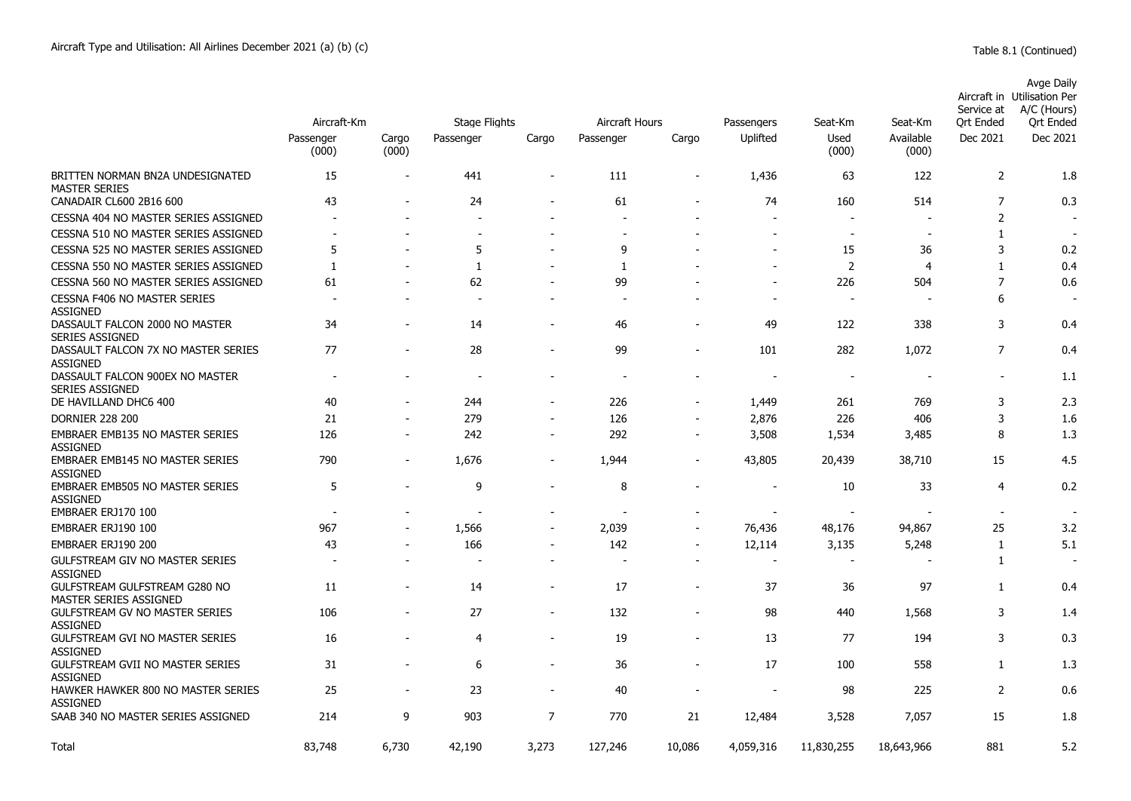|                                                                                 | Aircraft-Km              |                          | <b>Stage Flights</b> |                          | Aircraft Hours |                          | Passengers | Seat-Km                        | Seat-Km            | Service at<br>Ort Ended                    | Avge Daily<br>Aircraft in Utilisation Per<br>A/C (Hours)<br>Ort Ended |
|---------------------------------------------------------------------------------|--------------------------|--------------------------|----------------------|--------------------------|----------------|--------------------------|------------|--------------------------------|--------------------|--------------------------------------------|-----------------------------------------------------------------------|
|                                                                                 | Passenger<br>(000)       | Cargo<br>(000)           | Passenger            | Cargo                    | Passenger      | Cargo                    | Uplifted   | Used<br>(000)                  | Available<br>(000) | Dec 2021                                   | Dec 2021                                                              |
| BRITTEN NORMAN BN2A UNDESIGNATED<br><b>MASTER SERIES</b>                        | 15                       |                          | 441                  | $\blacksquare$           | 111            |                          | 1,436      | 63                             | 122                | 2                                          | 1.8                                                                   |
| CANADAIR CL600 2B16 600                                                         | 43                       |                          | 24                   |                          | 61             |                          | 74         | 160                            | 514                | 7                                          | 0.3                                                                   |
| CESSNA 404 NO MASTER SERIES ASSIGNED                                            |                          | $\overline{\phantom{a}}$ |                      | ۰                        |                | $\overline{\phantom{a}}$ |            | $\overline{\phantom{a}}$       |                    | $\overline{2}$                             |                                                                       |
| CESSNA 510 NO MASTER SERIES ASSIGNED                                            | ٠                        |                          |                      |                          |                |                          | $\sim$     | $\overline{\phantom{a}}$       |                    | $\mathbf{1}$                               |                                                                       |
| CESSNA 525 NO MASTER SERIES ASSIGNED                                            | 5                        |                          | 5                    |                          | 9              |                          |            | 15                             | 36                 | 3                                          | 0.2                                                                   |
| CESSNA 550 NO MASTER SERIES ASSIGNED                                            | 1                        |                          | 1                    |                          | 1              |                          |            | 2                              | $\overline{4}$     | $\mathbf{1}$                               | 0.4                                                                   |
| CESSNA 560 NO MASTER SERIES ASSIGNED                                            | 61                       |                          | 62                   |                          | 99             |                          |            | 226                            | 504                | $\overline{7}$                             | 0.6                                                                   |
| <b>CESSNA F406 NO MASTER SERIES</b><br><b>ASSIGNED</b>                          |                          |                          |                      |                          |                |                          |            |                                |                    | 6                                          |                                                                       |
| DASSAULT FALCON 2000 NO MASTER<br><b>SERIES ASSIGNED</b>                        | 34                       |                          | 14                   |                          | 46             |                          | 49         | 122                            | 338                | 3                                          | 0.4                                                                   |
| DASSAULT FALCON 7X NO MASTER SERIES<br><b>ASSIGNED</b>                          | 77                       | $\overline{\phantom{a}}$ | 28                   | $\overline{\phantom{a}}$ | 99             | $\overline{\phantom{a}}$ | 101        | 282                            | 1,072              | $\overline{7}$                             | 0.4                                                                   |
| DASSAULT FALCON 900EX NO MASTER<br><b>SERIES ASSIGNED</b>                       | $\overline{\phantom{a}}$ |                          |                      | $\overline{\phantom{a}}$ |                | $\blacksquare$           |            | $\overline{\phantom{a}}$       |                    | $\sim$                                     | 1.1                                                                   |
| DE HAVILLAND DHC6 400                                                           | 40                       |                          | 244                  |                          | 226            |                          | 1,449      | 261                            | 769                | 3                                          | 2.3                                                                   |
| <b>DORNIER 228 200</b>                                                          | 21                       | $\overline{a}$           | 279                  | $\overline{\phantom{a}}$ | 126            |                          | 2,876      | 226                            | 406                | 3                                          | 1.6                                                                   |
| EMBRAER EMB135 NO MASTER SERIES<br><b>ASSIGNED</b>                              | 126                      | $\blacksquare$           | 242                  | $\blacksquare$           | 292            | $\blacksquare$           | 3,508      | 1,534                          | 3,485              | 8                                          | 1.3                                                                   |
| <b>EMBRAER EMB145 NO MASTER SERIES</b><br><b>ASSIGNED</b>                       | 790                      | $\overline{\phantom{a}}$ | 1,676                | $\overline{a}$           | 1,944          |                          | 43,805     | 20,439                         | 38,710             | 15                                         | 4.5                                                                   |
| <b>EMBRAER EMB505 NO MASTER SERIES</b><br><b>ASSIGNED</b><br>EMBRAER ERJ170 100 | 5                        | $\overline{\phantom{a}}$ | 9<br>$\overline{a}$  | $\overline{a}$           | 8              | $\overline{\phantom{a}}$ |            | 10<br>$\overline{\phantom{a}}$ | 33                 | $\overline{4}$<br>$\overline{\phantom{a}}$ | 0.2                                                                   |
| EMBRAER ERJ190 100                                                              | 967                      |                          | 1,566                | ۰                        | 2,039          |                          | 76,436     | 48,176                         | 94,867             | 25                                         | 3.2                                                                   |
| EMBRAER ERJ190 200                                                              | 43                       | $\overline{a}$           | 166                  | $\overline{a}$           | 142            | $\blacksquare$           | 12,114     | 3,135                          | 5,248              | $\mathbf{1}$                               | 5.1                                                                   |
| <b>GULFSTREAM GIV NO MASTER SERIES</b><br><b>ASSIGNED</b>                       |                          |                          |                      | $\overline{a}$           |                | $\overline{\phantom{a}}$ |            |                                |                    | $\mathbf{1}$                               |                                                                       |
| GULFSTREAM GULFSTREAM G280 NO<br>MASTER SERIES ASSIGNED                         | 11                       | $\blacksquare$           | 14                   | $\overline{\phantom{a}}$ | 17             | $\overline{\phantom{a}}$ | 37         | 36                             | 97                 | $\mathbf{1}$                               | 0.4                                                                   |
| <b>GULFSTREAM GV NO MASTER SERIES</b><br><b>ASSIGNED</b>                        | 106                      |                          | 27                   | $\overline{a}$           | 132            |                          | 98         | 440                            | 1,568              | 3                                          | 1.4                                                                   |
| <b>GULFSTREAM GVI NO MASTER SERIES</b><br>ASSIGNED                              | 16                       |                          | $\overline{4}$       | $\overline{a}$           | 19             |                          | 13         | 77                             | 194                | 3                                          | 0.3                                                                   |
| <b>GULFSTREAM GVII NO MASTER SERIES</b><br><b>ASSIGNED</b>                      | 31                       |                          | 6                    | ۰                        | 36             |                          | 17         | 100                            | 558                | $\mathbf{1}$                               | 1.3                                                                   |
| HAWKER HAWKER 800 NO MASTER SERIES<br><b>ASSIGNED</b>                           | 25                       | $\blacksquare$           | 23                   | $\blacksquare$           | 40             |                          |            | 98                             | 225                | $\overline{2}$                             | 0.6                                                                   |
| SAAB 340 NO MASTER SERIES ASSIGNED                                              | 214                      | 9                        | 903                  | $\overline{7}$           | 770            | 21                       | 12,484     | 3,528                          | 7,057              | 15                                         | 1.8                                                                   |
| Total                                                                           | 83,748                   | 6,730                    | 42,190               | 3,273                    | 127,246        | 10,086                   | 4,059,316  | 11,830,255                     | 18,643,966         | 881                                        | 5.2                                                                   |